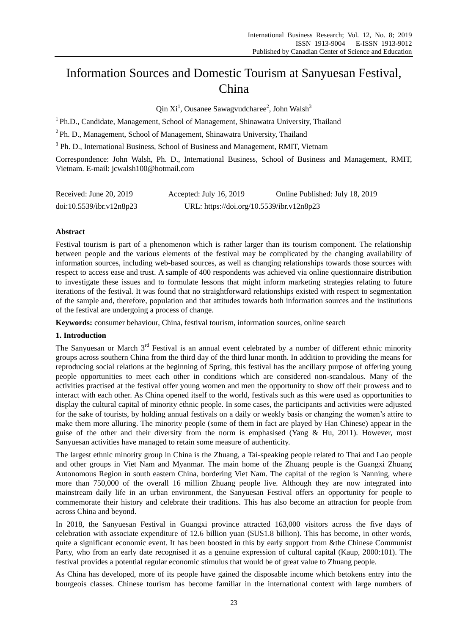# Information Sources and Domestic Tourism at Sanyuesan Festival, China

 $Q$ in Xi<sup>1</sup>, Ousanee Sawagvudcharee<sup>2</sup>, John Walsh<sup>3</sup>

<sup>1</sup> Ph.D., Candidate, Management, School of Management, Shinawatra University, Thailand

<sup>2</sup>Ph. D., Management, School of Management, Shinawatra University, Thailand

<sup>3</sup> Ph. D., International Business, School of Business and Management, RMIT, Vietnam

Correspondence: John Walsh, Ph. D., International Business, School of Business and Management, RMIT, Vietnam. E-mail: jcwalsh100@hotmail.com

| Received: June $20, 2019$ | Accepted: July 16, 2019                   | Online Published: July 18, 2019 |
|---------------------------|-------------------------------------------|---------------------------------|
| doi:10.5539/ibr.v12n8p23  | URL: https://doi.org/10.5539/ibr.v12n8p23 |                                 |

## **Abstract**

Festival tourism is part of a phenomenon which is rather larger than its tourism component. The relationship between people and the various elements of the festival may be complicated by the changing availability of information sources, including web-based sources, as well as changing relationships towards those sources with respect to access ease and trust. A sample of 400 respondents was achieved via online questionnaire distribution to investigate these issues and to formulate lessons that might inform marketing strategies relating to future iterations of the festival. It was found that no straightforward relationships existed with respect to segmentation of the sample and, therefore, population and that attitudes towards both information sources and the institutions of the festival are undergoing a process of change.

**Keywords:** consumer behaviour, China, festival tourism, information sources, online search

## **1. Introduction**

The Sanyuesan or March 3<sup>rd</sup> Festival is an annual event celebrated by a number of different ethnic minority groups across southern China from the third day of the third lunar month. In addition to providing the means for reproducing social relations at the beginning of Spring, this festival has the ancillary purpose of offering young people opportunities to meet each other in conditions which are considered non-scandalous. Many of the activities practised at the festival offer young women and men the opportunity to show off their prowess and to interact with each other. As China opened itself to the world, festivals such as this were used as opportunities to display the cultural capital of minority ethnic people. In some cases, the participants and activities were adjusted for the sake of tourists, by holding annual festivals on a daily or weekly basis or changing the women"s attire to make them more alluring. The minority people (some of them in fact are played by Han Chinese) appear in the guise of the other and their diversity from the norm is emphasised (Yang  $\&$  Hu, 2011). However, most Sanyuesan activities have managed to retain some measure of authenticity.

The largest ethnic minority group in China is the Zhuang, a Tai-speaking people related to Thai and Lao people and other groups in Viet Nam and Myanmar. The main home of the Zhuang people is the Guangxi Zhuang Autonomous Region in south eastern China, bordering Viet Nam. The capital of the region is Nanning, where more than 750,000 of the overall 16 million Zhuang people live. Although they are now integrated into mainstream daily life in an urban environment, the Sanyuesan Festival offers an opportunity for people to commemorate their history and celebrate their traditions. This has also become an attraction for people from across China and beyond.

In 2018, the Sanyuesan Festival in Guangxi province attracted 163,000 visitors across the five days of celebration with associate expenditure of 12.6 billion yuan (\$US1.8 billion). This has become, in other words, quite a significant economic event. It has been boosted in this by early support from &the Chinese Communist Party, who from an early date recognised it as a genuine expression of cultural capital (Kaup, 2000:101). The festival provides a potential regular economic stimulus that would be of great value to Zhuang people.

As China has developed, more of its people have gained the disposable income which betokens entry into the bourgeois classes. Chinese tourism has become familiar in the international context with large numbers of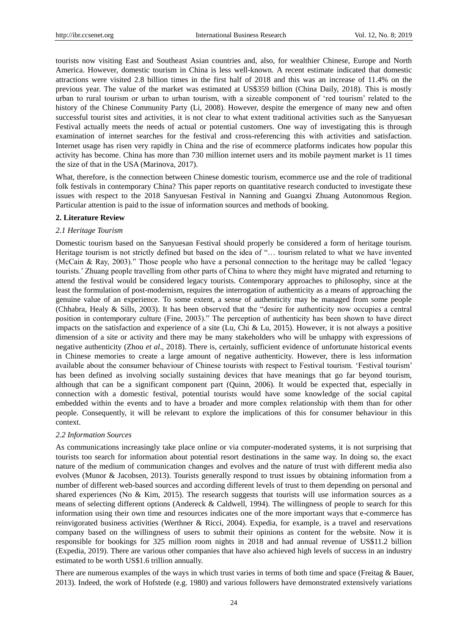tourists now visiting East and Southeast Asian countries and, also, for wealthier Chinese, Europe and North America. However, domestic tourism in China is less well-known. A recent estimate indicated that domestic attractions were visited 2.8 billion times in the first half of 2018 and this was an increase of 11.4% on the previous year. The value of the market was estimated at US\$359 billion (China Daily, 2018). This is mostly urban to rural tourism or urban to urban tourism, with a sizeable component of "red tourism" related to the history of the Chinese Community Party (Li, 2008). However, despite the emergence of many new and often successful tourist sites and activities, it is not clear to what extent traditional activities such as the Sanyuesan Festival actually meets the needs of actual or potential customers. One way of investigating this is through examination of internet searches for the festival and cross-referencing this with activities and satisfaction. Internet usage has risen very rapidly in China and the rise of ecommerce platforms indicates how popular this activity has become. China has more than 730 million internet users and its mobile payment market is 11 times the size of that in the USA (Marinova, 2017).

What, therefore, is the connection between Chinese domestic tourism, ecommerce use and the role of traditional folk festivals in contemporary China? This paper reports on quantitative research conducted to investigate these issues with respect to the 2018 Sanyuesan Festival in Nanning and Guangxi Zhuang Autonomous Region. Particular attention is paid to the issue of information sources and methods of booking.

#### **2. Literature Review**

#### *2.1 Heritage Tourism*

Domestic tourism based on the Sanyuesan Festival should properly be considered a form of heritage tourism. Heritage tourism is not strictly defined but based on the idea of "… tourism related to what we have invented (McCain & Ray, 2003)." Those people who have a personal connection to the heritage may be called "legacy tourists." Zhuang people travelling from other parts of China to where they might have migrated and returning to attend the festival would be considered legacy tourists. Contemporary approaches to philosophy, since at the least the formulation of post-modernism, requires the interrogation of authenticity as a means of approaching the genuine value of an experience. To some extent, a sense of authenticity may be managed from some people (Chhabra, Healy & Sills, 2003). It has been observed that the "desire for authenticity now occupies a central position in contemporary culture (Fine, 2003)." The perception of authenticity has been shown to have direct impacts on the satisfaction and experience of a site (Lu, Chi & Lu, 2015). However, it is not always a positive dimension of a site or activity and there may be many stakeholders who will be unhappy with expressions of negative authenticity (Zhou *et al*., 2018). There is, certainly, sufficient evidence of unfortunate historical events in Chinese memories to create a large amount of negative authenticity. However, there is less information available about the consumer behaviour of Chinese tourists with respect to Festival tourism. "Festival tourism" has been defined as involving socially sustaining devices that have meanings that go far beyond tourism, although that can be a significant component part (Quinn, 2006). It would be expected that, especially in connection with a domestic festival, potential tourists would have some knowledge of the social capital embedded within the events and to have a broader and more complex relationship with them than for other people. Consequently, it will be relevant to explore the implications of this for consumer behaviour in this context.

#### *2.2 Information Sources*

As communications increasingly take place online or via computer-moderated systems, it is not surprising that tourists too search for information about potential resort destinations in the same way. In doing so, the exact nature of the medium of communication changes and evolves and the nature of trust with different media also evolves (Munor & Jacobsen, 2013). Tourists generally respond to trust issues by obtaining information from a number of different web-based sources and according different levels of trust to them depending on personal and shared experiences (No & Kim, 2015). The research suggests that tourists will use information sources as a means of selecting different options (Andereck & Caldwell, 1994). The willingness of people to search for this information using their own time and resources indicates one of the more important ways that e-commerce has reinvigorated business activities (Werthner & Ricci, 2004). Expedia, for example, is a travel and reservations company based on the willingness of users to submit their opinions as content for the website. Now it is responsible for bookings for 325 million room nights in 2018 and had annual revenue of US\$11.2 billion (Expedia, 2019). There are various other companies that have also achieved high levels of success in an industry estimated to be worth US\$1.6 trillion annually.

There are numerous examples of the ways in which trust varies in terms of both time and space (Freitag & Bauer, 2013). Indeed, the work of Hofstede (e.g. 1980) and various followers have demonstrated extensively variations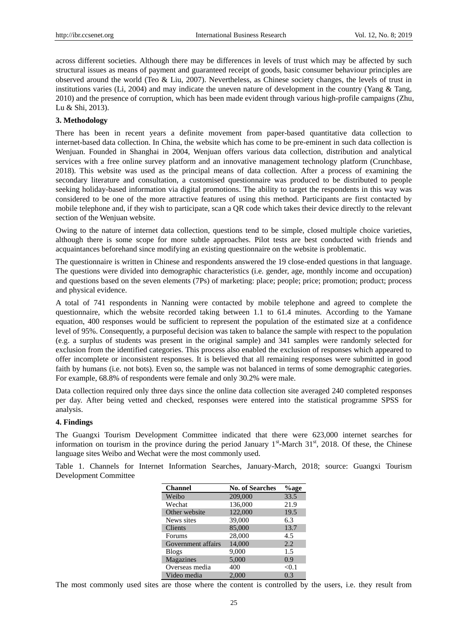across different societies. Although there may be differences in levels of trust which may be affected by such structural issues as means of payment and guaranteed receipt of goods, basic consumer behaviour principles are observed around the world (Teo & Liu, 2007). Nevertheless, as Chinese society changes, the levels of trust in institutions varies (Li, 2004) and may indicate the uneven nature of development in the country (Yang & Tang, 2010) and the presence of corruption, which has been made evident through various high-profile campaigns (Zhu, Lu & Shi, 2013).

### **3. Methodology**

There has been in recent years a definite movement from paper-based quantitative data collection to internet-based data collection. In China, the website which has come to be pre-eminent in such data collection is Wenjuan. Founded in Shanghai in 2004, Wenjuan offers various data collection, distribution and analytical services with a free online survey platform and an innovative management technology platform (Crunchbase, 2018). This website was used as the principal means of data collection. After a process of examining the secondary literature and consultation, a customised questionnaire was produced to be distributed to people seeking holiday-based information via digital promotions. The ability to target the respondents in this way was considered to be one of the more attractive features of using this method. Participants are first contacted by mobile telephone and, if they wish to participate, scan a QR code which takes their device directly to the relevant section of the Wenjuan website.

Owing to the nature of internet data collection, questions tend to be simple, closed multiple choice varieties, although there is some scope for more subtle approaches. Pilot tests are best conducted with friends and acquaintances beforehand since modifying an existing questionnaire on the website is problematic.

The questionnaire is written in Chinese and respondents answered the 19 close-ended questions in that language. The questions were divided into demographic characteristics (i.e. gender, age, monthly income and occupation) and questions based on the seven elements (7Ps) of marketing: place; people; price; promotion; product; process and physical evidence.

A total of 741 respondents in Nanning were contacted by mobile telephone and agreed to complete the questionnaire, which the website recorded taking between 1.1 to 61.4 minutes. According to the Yamane equation, 400 responses would be sufficient to represent the population of the estimated size at a confidence level of 95%. Consequently, a purposeful decision was taken to balance the sample with respect to the population (e.g. a surplus of students was present in the original sample) and 341 samples were randomly selected for exclusion from the identified categories. This process also enabled the exclusion of responses which appeared to offer incomplete or inconsistent responses. It is believed that all remaining responses were submitted in good faith by humans (i.e. not bots). Even so, the sample was not balanced in terms of some demographic categories. For example, 68.8% of respondents were female and only 30.2% were male.

Data collection required only three days since the online data collection site averaged 240 completed responses per day. After being vetted and checked, responses were entered into the statistical programme SPSS for analysis.

#### **4. Findings**

The Guangxi Tourism Development Committee indicated that there were 623,000 internet searches for information on tourism in the province during the period January  $1<sup>st</sup>$ -March 31<sup>st</sup>, 2018. Of these, the Chinese language sites Weibo and Wechat were the most commonly used.

Table 1. Channels for Internet Information Searches, January-March, 2018; source: Guangxi Tourism Development Committee

| <b>Channel</b>     | <b>No. of Searches</b> | %age    |
|--------------------|------------------------|---------|
| Weibo              | 209,000                | 33.5    |
| Wechat             | 136,000                | 21.9    |
| Other website      | 122,000                | 19.5    |
| News sites         | 39,000                 | 6.3     |
| <b>Clients</b>     | 85,000                 | 13.7    |
| Forums             | 28,000                 | 4.5     |
| Government affairs | 14,000                 | 2.2     |
| <b>Blogs</b>       | 9,000                  | 1.5     |
| <b>Magazines</b>   | 5,000                  | 0.9     |
| Overseas media     | 400                    | $<$ 0.1 |
| Video media        | 2.000                  | 0.3     |

The most commonly used sites are those where the content is controlled by the users, i.e. they result from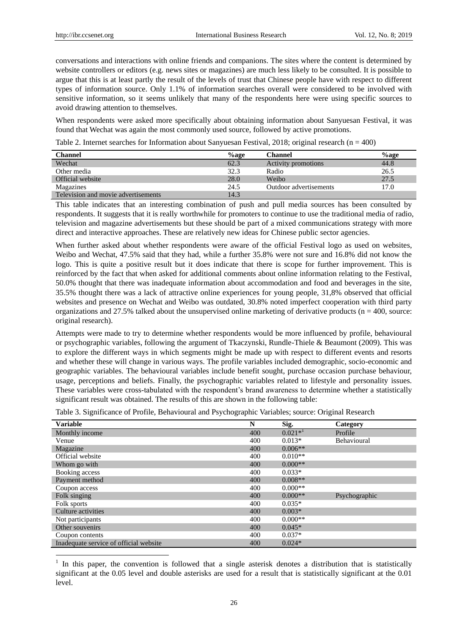-

conversations and interactions with online friends and companions. The sites where the content is determined by website controllers or editors (e.g. news sites or magazines) are much less likely to be consulted. It is possible to argue that this is at least partly the result of the levels of trust that Chinese people have with respect to different types of information source. Only 1.1% of information searches overall were considered to be involved with sensitive information, so it seems unlikely that many of the respondents here were using specific sources to avoid drawing attention to themselves.

When respondents were asked more specifically about obtaining information about Sanyuesan Festival, it was found that Wechat was again the most commonly used source, followed by active promotions.

Table 2. Internet searches for Information about Sanyuesan Festival, 2018; original research ( $n = 400$ )

| Channel                             | $\%$ age | Channel                    | %age |
|-------------------------------------|----------|----------------------------|------|
| Wechat                              | 62.3     | <b>Activity promotions</b> | 44.8 |
| Other media                         | 32.3     | Radio                      | 26.5 |
| Official website                    | 28.0     | Weibo                      | 27.5 |
| Magazines                           | 24.5     | Outdoor advertisements     | 17.0 |
| Television and movie advertisements | 14.3     |                            |      |

This table indicates that an interesting combination of push and pull media sources has been consulted by respondents. It suggests that it is really worthwhile for promoters to continue to use the traditional media of radio, television and magazine advertisements but these should be part of a mixed communications strategy with more direct and interactive approaches. These are relatively new ideas for Chinese public sector agencies.

When further asked about whether respondents were aware of the official Festival logo as used on websites, Weibo and Wechat, 47.5% said that they had, while a further 35.8% were not sure and 16.8% did not know the logo. This is quite a positive result but it does indicate that there is scope for further improvement. This is reinforced by the fact that when asked for additional comments about online information relating to the Festival, 50.0% thought that there was inadequate information about accommodation and food and beverages in the site, 35.5% thought there was a lack of attractive online experiences for young people, 31,8% observed that official websites and presence on Wechat and Weibo was outdated, 30.8% noted imperfect cooperation with third party organizations and 27.5% talked about the unsupervised online marketing of derivative products ( $n = 400$ , source: original research).

Attempts were made to try to determine whether respondents would be more influenced by profile, behavioural or psychographic variables, following the argument of Tkaczynski, Rundle-Thiele & Beaumont (2009). This was to explore the different ways in which segments might be made up with respect to different events and resorts and whether these will change in various ways. The profile variables included demographic, socio-economic and geographic variables. The behavioural variables include benefit sought, purchase occasion purchase behaviour, usage, perceptions and beliefs. Finally, the psychographic variables related to lifestyle and personality issues. These variables were cross-tabulated with the respondent's brand awareness to determine whether a statistically significant result was obtained. The results of this are shown in the following table:

| <b>Variable</b>                        | N   | Sig.         | Category      |
|----------------------------------------|-----|--------------|---------------|
| Monthly income                         | 400 | $0.021*^{1}$ | Profile       |
| Venue                                  | 400 | $0.013*$     | Behavioural   |
| Magazine                               | 400 | $0.006**$    |               |
| Official website                       | 400 | $0.010**$    |               |
| Whom go with                           | 400 | $0.000**$    |               |
| Booking access                         | 400 | $0.033*$     |               |
| Payment method                         | 400 | $0.008**$    |               |
| Coupon access                          | 400 | $0.000**$    |               |
| Folk singing                           | 400 | $0.000**$    | Psychographic |
| Folk sports                            | 400 | $0.035*$     |               |
| Culture activities                     | 400 | $0.003*$     |               |
| Not participants                       | 400 | $0.000**$    |               |
| Other souvenirs                        | 400 | $0.045*$     |               |
| Coupon contents                        | 400 | $0.037*$     |               |
| Inadequate service of official website | 400 | $0.024*$     |               |

<sup>1</sup> In this paper, the convention is followed that a single asterisk denotes a distribution that is statistically significant at the 0.05 level and double asterisks are used for a result that is statistically significant at the 0.01 level.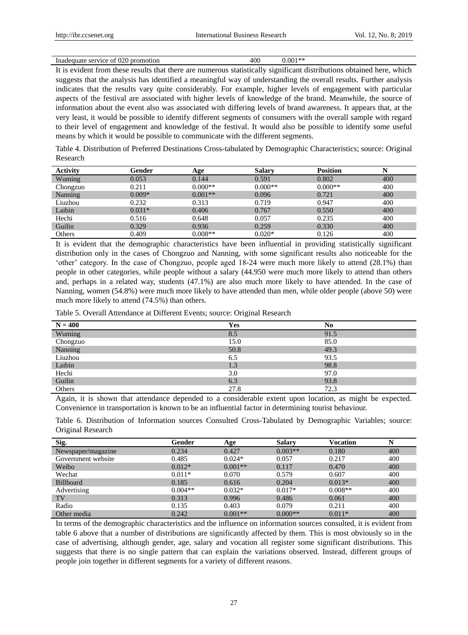| Inadequate service of 020 promotion | 400 | $0.001**$ |
|-------------------------------------|-----|-----------|
|-------------------------------------|-----|-----------|

It is evident from these results that there are numerous statistically significant distributions obtained here, which suggests that the analysis has identified a meaningful way of understanding the overall results. Further analysis indicates that the results vary quite considerably. For example, higher levels of engagement with particular aspects of the festival are associated with higher levels of knowledge of the brand. Meanwhile, the source of information about the event also was associated with differing levels of brand awareness. It appears that, at the very least, it would be possible to identify different segments of consumers with the overall sample with regard to their level of engagement and knowledge of the festival. It would also be possible to identify some useful means by which it would be possible to communicate with the different segments.

Table 4. Distribution of Preferred Destinations Cross-tabulated by Demographic Characteristics; source: Original Research

| <b>Activity</b> | Gender   | Age       | <b>Salary</b> | <b>Position</b> | N   |
|-----------------|----------|-----------|---------------|-----------------|-----|
| Wuming          | 0.053    | 0.144     | 0.591         | 0.802           | 400 |
| Chongzuo        | 0.211    | $0.000**$ | $0.000**$     | $0.000**$       | 400 |
| Nanning         | $0.009*$ | $0.001**$ | 0.096         | 0.721           | 400 |
| Liuzhou         | 0.232    | 0.313     | 0.719         | 0.947           | 400 |
| Laibin          | $0.031*$ | 0.406     | 0.767         | 0.550           | 400 |
| Hechi           | 0.516    | 0.648     | 0.057         | 0.235           | 400 |
| Guilin          | 0.329    | 0.936     | 0.259         | 0.330           | 400 |
| Others          | 0.409    | $0.008**$ | $0.020*$      | 0.126           | 400 |

It is evident that the demographic characteristics have been influential in providing statistically significant distribution only in the cases of Chongzuo and Nanning, with some significant results also noticeable for the "other" category. In the case of Chongzuo, people aged 18-24 were much more likely to attend (28.1%) than people in other categories, while people without a salary (44.950 were much more likely to attend than others and, perhaps in a related way, students (47.1%) are also much more likely to have attended. In the case of Nanning, women (54.8%) were much more likely to have attended than men, while older people (above 50) were much more likely to attend (74.5%) than others.

Table 5. Overall Attendance at Different Events; source: Original Research

| $N = 400$ | Yes  | No   |
|-----------|------|------|
| Wuming    | 8.5  | 91.5 |
| Chongzuo  | 15.0 | 85.0 |
| Nanning   | 50.8 | 49.3 |
| Liuzhou   | 6.5  | 93.5 |
| Laibin    | 1.3  | 98.8 |
| Hechi     | 3.0  | 97.0 |
| Guilin    | 6.3  | 93.8 |
| Others    | 27.8 | 72.3 |

Again, it is shown that attendance depended to a considerable extent upon location, as might be expected. Convenience in transportation is known to be an influential factor in determining tourist behaviour.

Table 6. Distribution of Information sources Consulted Cross-Tabulated by Demographic Variables; source: Original Research

| Sig.               | Gender    | Age       | <b>Salary</b> | Vocation  | N   |
|--------------------|-----------|-----------|---------------|-----------|-----|
| Newspaper/magazine | 0.234     | 0.427     | $0.003**$     | 0.180     | 400 |
| Government website | 0.485     | $0.024*$  | 0.057         | 0.217     | 400 |
| Weibo              | $0.012*$  | $0.001**$ | 0.117         | 0.470     | 400 |
| Wechat             | $0.011*$  | 0.070     | 0.579         | 0.607     | 400 |
| <b>Billboard</b>   | 0.185     | 0.616     | 0.204         | $0.013*$  | 400 |
| Advertising        | $0.004**$ | $0.032*$  | $0.017*$      | $0.008**$ | 400 |
| TV                 | 0.313     | 0.996     | 0.486         | 0.061     | 400 |
| Radio              | 0.135     | 0.403     | 0.079         | 0.211     | 400 |
| Other media        | 0.242     | $0.001**$ | $0.000**$     | $0.011*$  | 400 |

In terms of the demographic characteristics and the influence on information sources consulted, it is evident from table 6 above that a number of distributions are significantly affected by them. This is most obviously so in the case of advertising, although gender, age, salary and vocation all register some significant distributions. This suggests that there is no single pattern that can explain the variations observed. Instead, different groups of people join together in different segments for a variety of different reasons.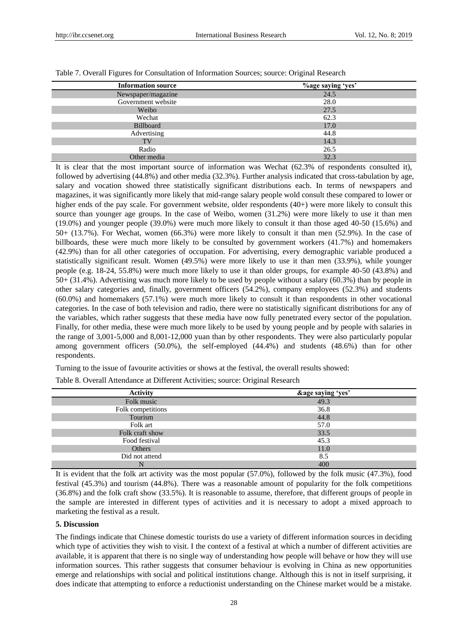| <b>Information source</b> | <i><b>Yoage saying 'yes'</b></i> |
|---------------------------|----------------------------------|
| Newspaper/magazine        | 24.5                             |
| Government website        | 28.0                             |
| Weibo                     | 27.5                             |
| Wechat                    | 62.3                             |
| <b>Billboard</b>          | 17.0                             |
| Advertising               | 44.8                             |
| TV                        | 14.3                             |
| Radio                     | 26.5                             |
| Other media               | 32.3                             |

Table 7. Overall Figures for Consultation of Information Sources; source: Original Research

It is clear that the most important source of information was Wechat (62.3% of respondents consulted it), followed by advertising (44.8%) and other media (32.3%). Further analysis indicated that cross-tabulation by age, salary and vocation showed three statistically significant distributions each. In terms of newspapers and magazines, it was significantly more likely that mid-range salary people wold consult these compared to lower or higher ends of the pay scale. For government website, older respondents (40+) were more likely to consult this source than younger age groups. In the case of Weibo, women (31.2%) were more likely to use it than men (19.0%) and younger people (39.0%) were much more likely to consult it than those aged 40-50 (15.6%) and 50+ (13.7%). For Wechat, women (66.3%) were more likely to consult it than men (52.9%). In the case of billboards, these were much more likely to be consulted by government workers (41.7%) and homemakers (42.9%) than for all other categories of occupation. For advertising, every demographic variable produced a statistically significant result. Women (49.5%) were more likely to use it than men (33.9%), while younger people (e.g. 18-24, 55.8%) were much more likely to use it than older groups, for example 40-50 (43.8%) and 50+ (31.4%). Advertising was much more likely to be used by people without a salary (60.3%) than by people in other salary categories and, finally, government officers (54.2%), company employees (52.3%) and students (60.0%) and homemakers (57.1%) were much more likely to consult it than respondents in other vocational categories. In the case of both television and radio, there were no statistically significant distributions for any of the variables, which rather suggests that these media have now fully penetrated every sector of the population. Finally, for other media, these were much more likely to be used by young people and by people with salaries in the range of 3,001-5,000 and 8,001-12,000 yuan than by other respondents. They were also particularly popular among government officers (50.0%), the self-employed (44.4%) and students (48.6%) than for other respondents.

Turning to the issue of favourite activities or shows at the festival, the overall results showed:

Table 8. Overall Attendance at Different Activities; source: Original Research

| <b>Activity</b>   | &age saying 'yes' |
|-------------------|-------------------|
| Folk music        | 49.3              |
| Folk competitions | 36.8              |
| Tourism           | 44.8              |
| Folk art          | 57.0              |
| Folk craft show   | 33.5              |
| Food festival     | 45.3              |
| Others            | 11.0              |
| Did not attend    | 8.5               |
| N                 | 400               |

It is evident that the folk art activity was the most popular (57.0%), followed by the folk music (47.3%), food festival (45.3%) and tourism (44.8%). There was a reasonable amount of popularity for the folk competitions (36.8%) and the folk craft show (33.5%). It is reasonable to assume, therefore, that different groups of people in the sample are interested in different types of activities and it is necessary to adopt a mixed approach to marketing the festival as a result.

#### **5. Discussion**

The findings indicate that Chinese domestic tourists do use a variety of different information sources in deciding which type of activities they wish to visit. I the context of a festival at which a number of different activities are available, it is apparent that there is no single way of understanding how people will behave or how they will use information sources. This rather suggests that consumer behaviour is evolving in China as new opportunities emerge and relationships with social and political institutions change. Although this is not in itself surprising, it does indicate that attempting to enforce a reductionist understanding on the Chinese market would be a mistake.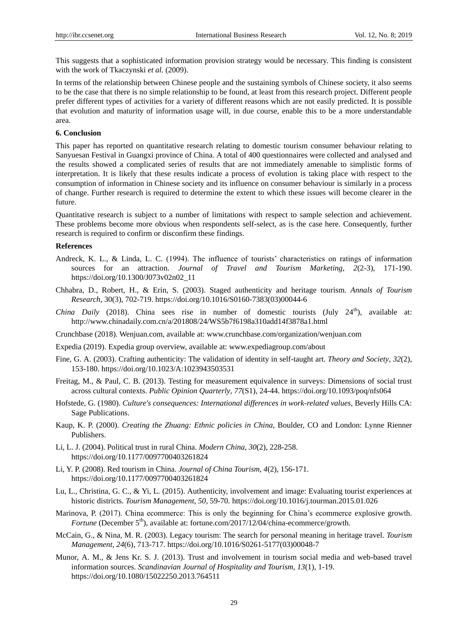This suggests that a sophisticated information provision strategy would be necessary. This finding is consistent with the work of Tkaczynski *et al.* (2009).

In terms of the relationship between Chinese people and the sustaining symbols of Chinese society, it also seems to be the case that there is no simple relationship to be found, at least from this research project. Different people prefer different types of activities for a variety of different reasons which are not easily predicted. It is possible that evolution and maturity of information usage will, in due course, enable this to be a more understandable area.

#### **6. Conclusion**

This paper has reported on quantitative research relating to domestic tourism consumer behaviour relating to Sanyuesan Festival in Guangxi province of China. A total of 400 questionnaires were collected and analysed and the results showed a complicated series of results that are not immediately amenable to simplistic forms of interpretation. It is likely that these results indicate a process of evolution is taking place with respect to the consumption of information in Chinese society and its influence on consumer behaviour is similarly in a process of change. Further research is required to determine the extent to which these issues will become clearer in the future.

Quantitative research is subject to a number of limitations with respect to sample selection and achievement. These problems become more obvious when respondents self-select, as is the case here. Consequently, further research is required to confirm or disconfirm these findings.

#### **References**

- Andreck, K. L., & Linda, L. C. (1994). The influence of tourists' characteristics on ratings of information sources for an attraction. *Journal of Travel and Tourism Marketing*, *2*(2-3), 171-190. https://doi.org/10.1300/J073v02n02\_11
- Chhabra, D., Robert, H., & Erin, S. (2003). Staged authenticity and heritage tourism. *Annals of Tourism Research*, 30(3), 702-719. https://doi.org/10.1016/S0160-7383(03)00044-6
- *China Daily* (2018). China sees rise in number of domestic tourists (July 24<sup>th</sup>), available at: <http://www.chinadaily.com.cn/a/201808/24/WS5b7f6198a310add14f3878a1.html>
- Crunchbase (2018). Wenjuan.com, available at: [www.crunchbase.com/organization/wenjuan.com](http://www.crunchbase.com/organization/wenjuan.com)

Expedia (2019). Expedia group overview, available at[: www.expediagroup.com/about](http://www.expediagroup.com/about)

- Fine, G. A. (2003). Crafting authenticity: The validation of identity in self-taught art. *Theory and Society*, *32*(2), 153-180. https://doi.org/10.1023/A:1023943503531
- Freitag, M., & Paul, C. B. (2013). Testing for measurement equivalence in surveys: Dimensions of social trust across cultural contexts. *Public Opinion Quarterly*, *77*(S1), 24-44. https://doi.org/10.1093/poq/nfs064
- Hofstede, G. (1980). *Culture's consequences: International differences in work-related values,* Beverly Hills CA: Sage Publications.
- Kaup, K. P. (2000). *Creating the Zhuang: Ethnic policies in China,* Boulder, CO and London: Lynne Rienner Publishers.
- Li, L. J. (2004). Political trust in rural China. *Modern China*, *30*(2), 228-258. https://doi.org/10.1177/0097700403261824
- Li, Y. P. (2008). Red tourism in China. *Journal of China Tourism*, *4*(2), 156-171. https://doi.org/10.1177/0097700403261824
- Lu, L., Christina, G. C., & Yi, L. (2015). Authenticity, involvement and image: Evaluating tourist experiences at historic districts. *Tourism Management*, *50,* 59-70. https://doi.org/10.1016/j.tourman.2015.01.026
- Marinova, P. (2017). China ecommerce: This is only the beginning for China"s ecommerce explosive growth. *Fortune* (December 5<sup>th</sup>), available at: fortune.com/2017/12/04/china-ecommerce/growth.
- McCain, G., & Nina, M. R. (2003). Legacy tourism: The search for personal meaning in heritage travel. *Tourism Management*, *24*(6), 713-717. https://doi.org/10.1016/S0261-5177(03)00048-7
- Munor, A. M., & Jens Kr. S. J. (2013). Trust and involvement in tourism social media and web-based travel information sources. *Scandinavian Journal of Hospitality and Tourism*, *13*(1), 1-19. https://doi.org/10.1080/15022250.2013.764511